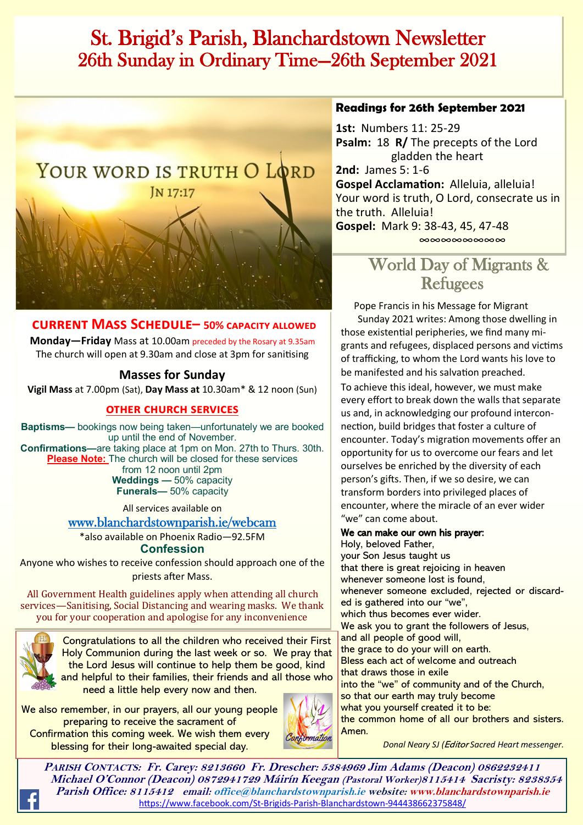## St. Brigid's Parish, Blanchardstown Newsletter 26th Sunday in Ordinary Time—26th September 2021



## **current Mass Schedule– 50% capacity allowed**

**Monday—Friday** Mass at 10.00am preceded by the Rosary at 9.35am The church will open at 9.30am and close at 3pm for sanitising

## **Masses for Sunday**

**Vigil Mass** at 7.00pm (Sat), **Day Mass at** 10.30am\* & 12 noon (Sun)

### **other church services**

**Baptisms—** bookings now being taken—unfortunately we are booked up until the end of November. **Confirmations—**are taking place at 1pm on Mon. 27th to Thurs. 30th. **Please Note:** The church will be closed for these services from 12 noon until 2pm **Weddings —** 50% capacity **Funerals—** 50% capacity

> All services available on [www.blanchardstownparish.ie/webcam](http://www.blanchardstownparish.ie/webcam)

\*also available on Phoenix Radio—92.5FM

**Confession**

Anyone who wishes to receive confession should approach one of the priests after Mass.

All Government Health guidelines apply when attending all church services—Sanitising, Social Distancing and wearing masks. We thank you for your cooperation and apologise for any inconvenience



Congratulations to all the children who received their First Holy Communion during the last week or so. We pray that the Lord Jesus will continue to help them be good, kind and helpful to their families, their friends and all those who need a little help every now and then.

We also remember, in our prayers, all our young people preparing to receive the sacrament of Confirmation this coming week. We wish them every blessing for their long-awaited special day.



#### **Readings for 26th September 2021**

**1st:** Numbers 11: 25-29 **Psalm:** 18 **R/** The precepts of the Lord gladden the heart **2nd:** James 5: 1-6 **Gospel Acclamation:** Alleluia, alleluia! Your word is truth, O Lord, consecrate us in the truth. Alleluia! **Gospel:** Mark 9: 38-43, 45, 47-48 ∞∞∞∞∞∞∞∞

## World Day of Migrants & Refugees

Pope Francis in his Message for Migrant

 Sunday 2021 writes: Among those dwelling in those existential peripheries, we find many migrants and refugees, displaced persons and victims of trafficking, to whom the Lord wants his love to be manifested and his salvation preached.

To achieve this ideal, however, we must make every effort to break down the walls that separate us and, in acknowledging our profound interconnection, build bridges that foster a culture of encounter. Today's migration movements offer an opportunity for us to overcome our fears and let ourselves be enriched by the diversity of each person's gifts. Then, if we so desire, we can transform borders into privileged places of encounter, where the miracle of an ever wider "we" can come about.

#### We can make our own his prayer:

Holy, beloved Father, your Son Jesus taught us that there is great rejoicing in heaven whenever someone lost is found, whenever someone excluded, rejected or discarded is gathered into our "we", which thus becomes ever wider. We ask you to grant the followers of Jesus, and all people of good will, the grace to do your will on earth. Bless each act of welcome and outreach that draws those in exile into the "we" of community and of the Church, so that our earth may truly become what you yourself created it to be: the common home of all our brothers and sisters. Amen.

*Robert Longley Donal Neary SJ (*Editor *Sacred Heart messenger.* 

**PARISH CONTACTS: Fr. Carey: 8213660 Fr. Drescher: 5384969 Jim Adams (Deacon) 0862232411 Michael O'Connor (Deacon) 0872941729 Máirín Keegan (Pastoral Worker)8115414 Sacristy: 8238354 Parish Office: 8115412 email: office@blanchardstownparish.ie website: www.blanchardstownparish.ie**  [https://www.facebook.com/St](https://www.facebook.com/St-Brigids-Parish-Blanchardstown-944438662375848/)-Brigids-Parish-Blanchardstown-944438662375848/